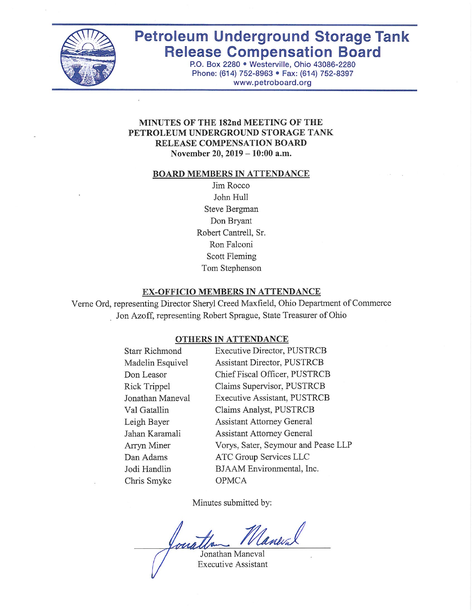

# **Petroleum Underground Storage Tank Release Compensation Board**

P.O. Box 2280 . Westerville, Ohio 43086-2280 Phone: (614) 752-8963 · Fax: (614) 752-8397 www.petroboard.org

#### MINUTES OF THE 182nd MEETING OF THE PETROLEUM UNDERGROUND STORAGE TANK **RELEASE COMPENSATION BOARD** November 20, 2019 - 10:00 a.m.

#### **BOARD MEMBERS IN ATTENDANCE**

Jim Rocco John Hull Steve Bergman Don Bryant Robert Cantrell, Sr. Ron Falconi Scott Fleming Tom Stephenson

#### **EX-OFFICIO MEMBERS IN ATTENDANCE**

Verne Ord, representing Director Sheryl Creed Maxfield, Ohio Department of Commerce Jon Azoff, representing Robert Sprague, State Treasurer of Ohio

#### **OTHERS IN ATTENDANCE**

| <b>Starr Richmond</b> | <b>Executive Director, PUSTRCB</b>  |
|-----------------------|-------------------------------------|
| Madelin Esquivel      | <b>Assistant Director, PUSTRCB</b>  |
| Don Leasor            | Chief Fiscal Officer, PUSTRCB       |
| Rick Trippel          | Claims Supervisor, PUSTRCB          |
| Jonathan Maneval      | Executive Assistant, PUSTRCB        |
| Val Gatallin          | Claims Analyst, PUSTRCB             |
| Leigh Bayer           | <b>Assistant Attorney General</b>   |
| Jahan Karamali        | <b>Assistant Attorney General</b>   |
| Arryn Miner           | Vorys, Sater, Seymour and Pease LLP |
| Dan Adams             | ATC Group Services LLC              |
| Jodi Handlin          | BJAAM Environmental, Inc.           |
| Chris Smyke           | <b>OPMCA</b>                        |
|                       |                                     |

Minutes submitted by:

Janeval Jonathan Maneval

**Executive Assistant**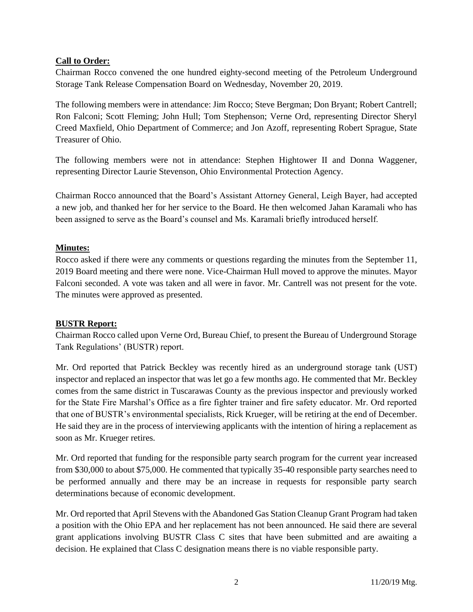# **Call to Order:**

Chairman Rocco convened the one hundred eighty-second meeting of the Petroleum Underground Storage Tank Release Compensation Board on Wednesday, November 20, 2019.

The following members were in attendance: Jim Rocco; Steve Bergman; Don Bryant; Robert Cantrell; Ron Falconi; Scott Fleming; John Hull; Tom Stephenson; Verne Ord, representing Director Sheryl Creed Maxfield, Ohio Department of Commerce; and Jon Azoff, representing Robert Sprague, State Treasurer of Ohio.

The following members were not in attendance: Stephen Hightower II and Donna Waggener, representing Director Laurie Stevenson, Ohio Environmental Protection Agency.

Chairman Rocco announced that the Board's Assistant Attorney General, Leigh Bayer, had accepted a new job, and thanked her for her service to the Board. He then welcomed Jahan Karamali who has been assigned to serve as the Board's counsel and Ms. Karamali briefly introduced herself.

# **Minutes:**

Rocco asked if there were any comments or questions regarding the minutes from the September 11, 2019 Board meeting and there were none. Vice-Chairman Hull moved to approve the minutes. Mayor Falconi seconded. A vote was taken and all were in favor. Mr. Cantrell was not present for the vote. The minutes were approved as presented.

## **BUSTR Report:**

Chairman Rocco called upon Verne Ord, Bureau Chief, to present the Bureau of Underground Storage Tank Regulations' (BUSTR) report.

Mr. Ord reported that Patrick Beckley was recently hired as an underground storage tank (UST) inspector and replaced an inspector that was let go a few months ago. He commented that Mr. Beckley comes from the same district in Tuscarawas County as the previous inspector and previously worked for the State Fire Marshal's Office as a fire fighter trainer and fire safety educator. Mr. Ord reported that one of BUSTR's environmental specialists, Rick Krueger, will be retiring at the end of December. He said they are in the process of interviewing applicants with the intention of hiring a replacement as soon as Mr. Krueger retires.

Mr. Ord reported that funding for the responsible party search program for the current year increased from \$30,000 to about \$75,000. He commented that typically 35-40 responsible party searches need to be performed annually and there may be an increase in requests for responsible party search determinations because of economic development.

Mr. Ord reported that April Stevens with the Abandoned Gas Station Cleanup Grant Program had taken a position with the Ohio EPA and her replacement has not been announced. He said there are several grant applications involving BUSTR Class C sites that have been submitted and are awaiting a decision. He explained that Class C designation means there is no viable responsible party.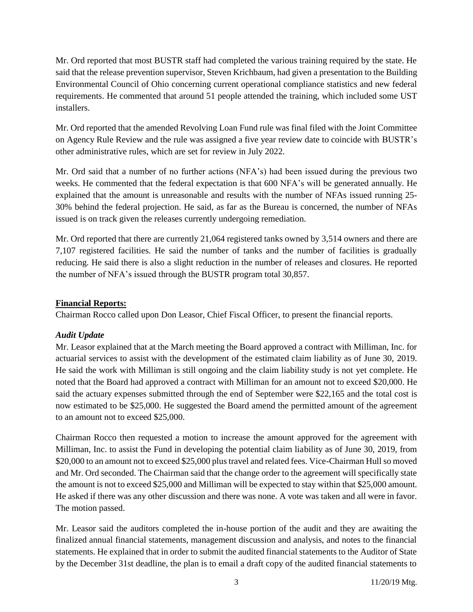Mr. Ord reported that most BUSTR staff had completed the various training required by the state. He said that the release prevention supervisor, Steven Krichbaum, had given a presentation to the Building Environmental Council of Ohio concerning current operational compliance statistics and new federal requirements. He commented that around 51 people attended the training, which included some UST installers.

Mr. Ord reported that the amended Revolving Loan Fund rule was final filed with the Joint Committee on Agency Rule Review and the rule was assigned a five year review date to coincide with BUSTR's other administrative rules, which are set for review in July 2022.

Mr. Ord said that a number of no further actions (NFA's) had been issued during the previous two weeks. He commented that the federal expectation is that 600 NFA's will be generated annually. He explained that the amount is unreasonable and results with the number of NFAs issued running 25- 30% behind the federal projection. He said, as far as the Bureau is concerned, the number of NFAs issued is on track given the releases currently undergoing remediation.

Mr. Ord reported that there are currently 21,064 registered tanks owned by 3,514 owners and there are 7,107 registered facilities. He said the number of tanks and the number of facilities is gradually reducing. He said there is also a slight reduction in the number of releases and closures. He reported the number of NFA's issued through the BUSTR program total 30,857.

# **Financial Reports:**

Chairman Rocco called upon Don Leasor, Chief Fiscal Officer, to present the financial reports.

# *Audit Update*

Mr. Leasor explained that at the March meeting the Board approved a contract with Milliman, Inc. for actuarial services to assist with the development of the estimated claim liability as of June 30, 2019. He said the work with Milliman is still ongoing and the claim liability study is not yet complete. He noted that the Board had approved a contract with Milliman for an amount not to exceed \$20,000. He said the actuary expenses submitted through the end of September were \$22,165 and the total cost is now estimated to be \$25,000. He suggested the Board amend the permitted amount of the agreement to an amount not to exceed \$25,000.

Chairman Rocco then requested a motion to increase the amount approved for the agreement with Milliman, Inc. to assist the Fund in developing the potential claim liability as of June 30, 2019, from \$20,000 to an amount not to exceed \$25,000 plus travel and related fees. Vice-Chairman Hull so moved and Mr. Ord seconded. The Chairman said that the change order to the agreement will specifically state the amount is not to exceed \$25,000 and Milliman will be expected to stay within that \$25,000 amount. He asked if there was any other discussion and there was none. A vote was taken and all were in favor. The motion passed.

Mr. Leasor said the auditors completed the in-house portion of the audit and they are awaiting the finalized annual financial statements, management discussion and analysis, and notes to the financial statements. He explained that in order to submit the audited financial statements to the Auditor of State by the December 31st deadline, the plan is to email a draft copy of the audited financial statements to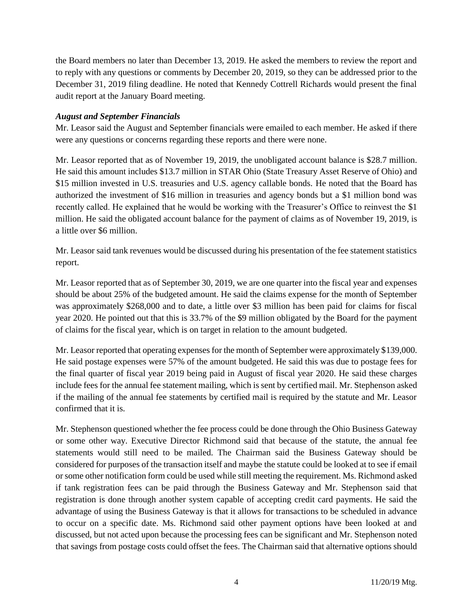the Board members no later than December 13, 2019. He asked the members to review the report and to reply with any questions or comments by December 20, 2019, so they can be addressed prior to the December 31, 2019 filing deadline. He noted that Kennedy Cottrell Richards would present the final audit report at the January Board meeting.

## *August and September Financials*

Mr. Leasor said the August and September financials were emailed to each member. He asked if there were any questions or concerns regarding these reports and there were none.

Mr. Leasor reported that as of November 19, 2019, the unobligated account balance is \$28.7 million. He said this amount includes \$13.7 million in STAR Ohio (State Treasury Asset Reserve of Ohio) and \$15 million invested in U.S. treasuries and U.S. agency callable bonds. He noted that the Board has authorized the investment of \$16 million in treasuries and agency bonds but a \$1 million bond was recently called. He explained that he would be working with the Treasurer's Office to reinvest the \$1 million. He said the obligated account balance for the payment of claims as of November 19, 2019, is a little over \$6 million.

Mr. Leasor said tank revenues would be discussed during his presentation of the fee statement statistics report.

Mr. Leasor reported that as of September 30, 2019, we are one quarter into the fiscal year and expenses should be about 25% of the budgeted amount. He said the claims expense for the month of September was approximately \$268,000 and to date, a little over \$3 million has been paid for claims for fiscal year 2020. He pointed out that this is 33.7% of the \$9 million obligated by the Board for the payment of claims for the fiscal year, which is on target in relation to the amount budgeted.

Mr. Leasor reported that operating expenses for the month of September were approximately \$139,000. He said postage expenses were 57% of the amount budgeted. He said this was due to postage fees for the final quarter of fiscal year 2019 being paid in August of fiscal year 2020. He said these charges include fees for the annual fee statement mailing, which is sent by certified mail. Mr. Stephenson asked if the mailing of the annual fee statements by certified mail is required by the statute and Mr. Leasor confirmed that it is.

Mr. Stephenson questioned whether the fee process could be done through the Ohio Business Gateway or some other way. Executive Director Richmond said that because of the statute, the annual fee statements would still need to be mailed. The Chairman said the Business Gateway should be considered for purposes of the transaction itself and maybe the statute could be looked at to see if email or some other notification form could be used while still meeting the requirement. Ms. Richmond asked if tank registration fees can be paid through the Business Gateway and Mr. Stephenson said that registration is done through another system capable of accepting credit card payments. He said the advantage of using the Business Gateway is that it allows for transactions to be scheduled in advance to occur on a specific date. Ms. Richmond said other payment options have been looked at and discussed, but not acted upon because the processing fees can be significant and Mr. Stephenson noted that savings from postage costs could offset the fees. The Chairman said that alternative options should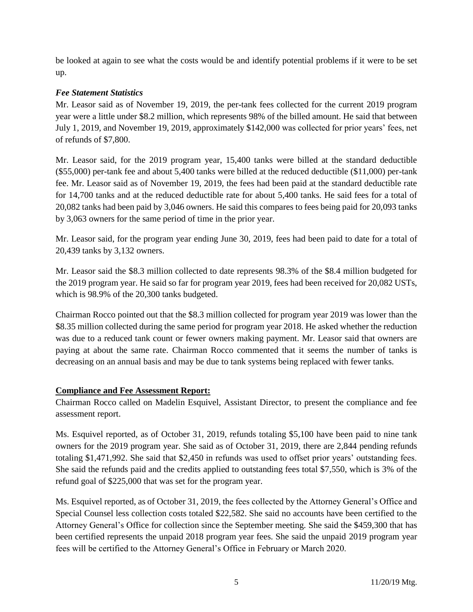be looked at again to see what the costs would be and identify potential problems if it were to be set up.

# *Fee Statement Statistics*

Mr. Leasor said as of November 19, 2019, the per-tank fees collected for the current 2019 program year were a little under \$8.2 million, which represents 98% of the billed amount. He said that between July 1, 2019, and November 19, 2019, approximately \$142,000 was collected for prior years' fees, net of refunds of \$7,800.

Mr. Leasor said, for the 2019 program year, 15,400 tanks were billed at the standard deductible (\$55,000) per-tank fee and about 5,400 tanks were billed at the reduced deductible (\$11,000) per-tank fee. Mr. Leasor said as of November 19, 2019, the fees had been paid at the standard deductible rate for 14,700 tanks and at the reduced deductible rate for about 5,400 tanks. He said fees for a total of 20,082 tanks had been paid by 3,046 owners. He said this compares to fees being paid for 20,093 tanks by 3,063 owners for the same period of time in the prior year.

Mr. Leasor said, for the program year ending June 30, 2019, fees had been paid to date for a total of 20,439 tanks by 3,132 owners.

Mr. Leasor said the \$8.3 million collected to date represents 98.3% of the \$8.4 million budgeted for the 2019 program year. He said so far for program year 2019, fees had been received for 20,082 USTs, which is 98.9% of the 20,300 tanks budgeted.

Chairman Rocco pointed out that the \$8.3 million collected for program year 2019 was lower than the \$8.35 million collected during the same period for program year 2018. He asked whether the reduction was due to a reduced tank count or fewer owners making payment. Mr. Leasor said that owners are paying at about the same rate. Chairman Rocco commented that it seems the number of tanks is decreasing on an annual basis and may be due to tank systems being replaced with fewer tanks.

# **Compliance and Fee Assessment Report:**

Chairman Rocco called on Madelin Esquivel, Assistant Director, to present the compliance and fee assessment report.

Ms. Esquivel reported, as of October 31, 2019, refunds totaling \$5,100 have been paid to nine tank owners for the 2019 program year. She said as of October 31, 2019, there are 2,844 pending refunds totaling \$1,471,992. She said that \$2,450 in refunds was used to offset prior years' outstanding fees. She said the refunds paid and the credits applied to outstanding fees total \$7,550, which is 3% of the refund goal of \$225,000 that was set for the program year.

Ms. Esquivel reported, as of October 31, 2019, the fees collected by the Attorney General's Office and Special Counsel less collection costs totaled \$22,582. She said no accounts have been certified to the Attorney General's Office for collection since the September meeting. She said the \$459,300 that has been certified represents the unpaid 2018 program year fees. She said the unpaid 2019 program year fees will be certified to the Attorney General's Office in February or March 2020.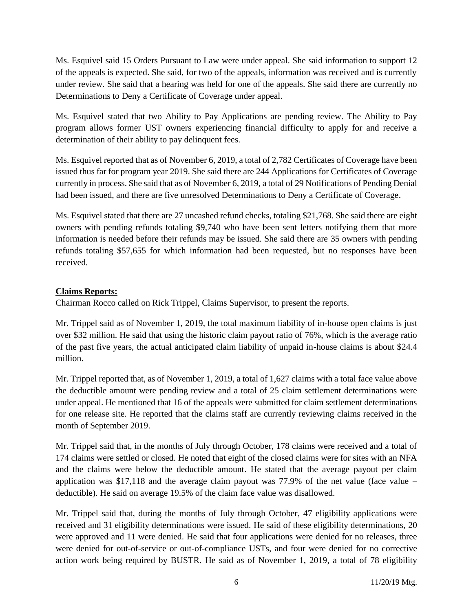Ms. Esquivel said 15 Orders Pursuant to Law were under appeal. She said information to support 12 of the appeals is expected. She said, for two of the appeals, information was received and is currently under review. She said that a hearing was held for one of the appeals. She said there are currently no Determinations to Deny a Certificate of Coverage under appeal.

Ms. Esquivel stated that two Ability to Pay Applications are pending review. The Ability to Pay program allows former UST owners experiencing financial difficulty to apply for and receive a determination of their ability to pay delinquent fees.

Ms. Esquivel reported that as of November 6, 2019, a total of 2,782 Certificates of Coverage have been issued thus far for program year 2019. She said there are 244 Applications for Certificates of Coverage currently in process. She said that as of November 6, 2019, a total of 29 Notifications of Pending Denial had been issued, and there are five unresolved Determinations to Deny a Certificate of Coverage.

Ms. Esquivel stated that there are 27 uncashed refund checks, totaling \$21,768. She said there are eight owners with pending refunds totaling \$9,740 who have been sent letters notifying them that more information is needed before their refunds may be issued. She said there are 35 owners with pending refunds totaling \$57,655 for which information had been requested, but no responses have been received.

# **Claims Reports:**

Chairman Rocco called on Rick Trippel, Claims Supervisor, to present the reports.

Mr. Trippel said as of November 1, 2019, the total maximum liability of in-house open claims is just over \$32 million. He said that using the historic claim payout ratio of 76%, which is the average ratio of the past five years, the actual anticipated claim liability of unpaid in-house claims is about \$24.4 million.

Mr. Trippel reported that, as of November 1, 2019, a total of 1,627 claims with a total face value above the deductible amount were pending review and a total of 25 claim settlement determinations were under appeal. He mentioned that 16 of the appeals were submitted for claim settlement determinations for one release site. He reported that the claims staff are currently reviewing claims received in the month of September 2019.

Mr. Trippel said that, in the months of July through October, 178 claims were received and a total of 174 claims were settled or closed. He noted that eight of the closed claims were for sites with an NFA and the claims were below the deductible amount. He stated that the average payout per claim application was  $$17,118$  and the average claim payout was 77.9% of the net value (face value – deductible). He said on average 19.5% of the claim face value was disallowed.

Mr. Trippel said that, during the months of July through October, 47 eligibility applications were received and 31 eligibility determinations were issued. He said of these eligibility determinations, 20 were approved and 11 were denied. He said that four applications were denied for no releases, three were denied for out-of-service or out-of-compliance USTs, and four were denied for no corrective action work being required by BUSTR. He said as of November 1, 2019, a total of 78 eligibility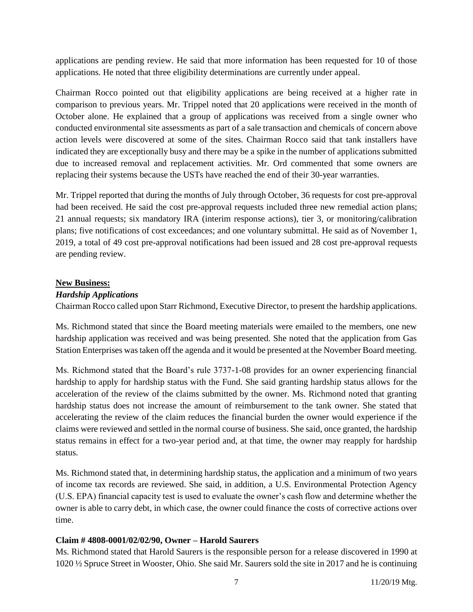applications are pending review. He said that more information has been requested for 10 of those applications. He noted that three eligibility determinations are currently under appeal.

Chairman Rocco pointed out that eligibility applications are being received at a higher rate in comparison to previous years. Mr. Trippel noted that 20 applications were received in the month of October alone. He explained that a group of applications was received from a single owner who conducted environmental site assessments as part of a sale transaction and chemicals of concern above action levels were discovered at some of the sites. Chairman Rocco said that tank installers have indicated they are exceptionally busy and there may be a spike in the number of applications submitted due to increased removal and replacement activities. Mr. Ord commented that some owners are replacing their systems because the USTs have reached the end of their 30-year warranties.

Mr. Trippel reported that during the months of July through October, 36 requests for cost pre-approval had been received. He said the cost pre-approval requests included three new remedial action plans; 21 annual requests; six mandatory IRA (interim response actions), tier 3, or monitoring/calibration plans; five notifications of cost exceedances; and one voluntary submittal. He said as of November 1, 2019, a total of 49 cost pre-approval notifications had been issued and 28 cost pre-approval requests are pending review.

## **New Business:**

# *Hardship Applications*

Chairman Rocco called upon Starr Richmond, Executive Director, to present the hardship applications.

Ms. Richmond stated that since the Board meeting materials were emailed to the members, one new hardship application was received and was being presented. She noted that the application from Gas Station Enterprises was taken off the agenda and it would be presented at the November Board meeting.

Ms. Richmond stated that the Board's rule 3737-1-08 provides for an owner experiencing financial hardship to apply for hardship status with the Fund. She said granting hardship status allows for the acceleration of the review of the claims submitted by the owner. Ms. Richmond noted that granting hardship status does not increase the amount of reimbursement to the tank owner. She stated that accelerating the review of the claim reduces the financial burden the owner would experience if the claims were reviewed and settled in the normal course of business. She said, once granted, the hardship status remains in effect for a two-year period and, at that time, the owner may reapply for hardship status.

Ms. Richmond stated that, in determining hardship status, the application and a minimum of two years of income tax records are reviewed. She said, in addition, a U.S. Environmental Protection Agency (U.S. EPA) financial capacity test is used to evaluate the owner's cash flow and determine whether the owner is able to carry debt, in which case, the owner could finance the costs of corrective actions over time.

## **Claim # 4808-0001/02/02/90, Owner – Harold Saurers**

Ms. Richmond stated that Harold Saurers is the responsible person for a release discovered in 1990 at 1020 ½ Spruce Street in Wooster, Ohio. She said Mr. Saurers sold the site in 2017 and he is continuing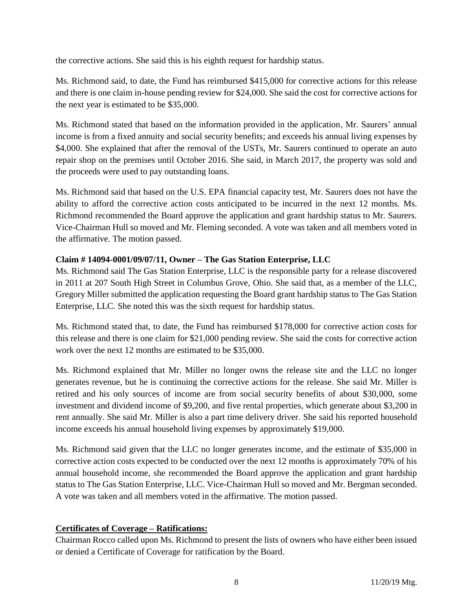the corrective actions. She said this is his eighth request for hardship status.

Ms. Richmond said, to date, the Fund has reimbursed \$415,000 for corrective actions for this release and there is one claim in-house pending review for \$24,000. She said the cost for corrective actions for the next year is estimated to be \$35,000.

Ms. Richmond stated that based on the information provided in the application, Mr. Saurers' annual income is from a fixed annuity and social security benefits; and exceeds his annual living expenses by \$4,000. She explained that after the removal of the USTs, Mr. Saurers continued to operate an auto repair shop on the premises until October 2016. She said, in March 2017, the property was sold and the proceeds were used to pay outstanding loans.

Ms. Richmond said that based on the U.S. EPA financial capacity test, Mr. Saurers does not have the ability to afford the corrective action costs anticipated to be incurred in the next 12 months. Ms. Richmond recommended the Board approve the application and grant hardship status to Mr. Saurers. Vice-Chairman Hull so moved and Mr. Fleming seconded. A vote was taken and all members voted in the affirmative. The motion passed.

# **Claim # 14094-0001/09/07/11, Owner – The Gas Station Enterprise, LLC**

Ms. Richmond said The Gas Station Enterprise, LLC is the responsible party for a release discovered in 2011 at 207 South High Street in Columbus Grove, Ohio. She said that, as a member of the LLC, Gregory Miller submitted the application requesting the Board grant hardship status to The Gas Station Enterprise, LLC. She noted this was the sixth request for hardship status.

Ms. Richmond stated that, to date, the Fund has reimbursed \$178,000 for corrective action costs for this release and there is one claim for \$21,000 pending review. She said the costs for corrective action work over the next 12 months are estimated to be \$35,000.

Ms. Richmond explained that Mr. Miller no longer owns the release site and the LLC no longer generates revenue, but he is continuing the corrective actions for the release. She said Mr. Miller is retired and his only sources of income are from social security benefits of about \$30,000, some investment and dividend income of \$9,200, and five rental properties, which generate about \$3,200 in rent annually. She said Mr. Miller is also a part time delivery driver. She said his reported household income exceeds his annual household living expenses by approximately \$19,000.

Ms. Richmond said given that the LLC no longer generates income, and the estimate of \$35,000 in corrective action costs expected to be conducted over the next 12 months is approximately 70% of his annual household income, she recommended the Board approve the application and grant hardship status to The Gas Station Enterprise, LLC. Vice-Chairman Hull so moved and Mr. Bergman seconded. A vote was taken and all members voted in the affirmative. The motion passed.

# **Certificates of Coverage – Ratifications:**

Chairman Rocco called upon Ms. Richmond to present the lists of owners who have either been issued or denied a Certificate of Coverage for ratification by the Board.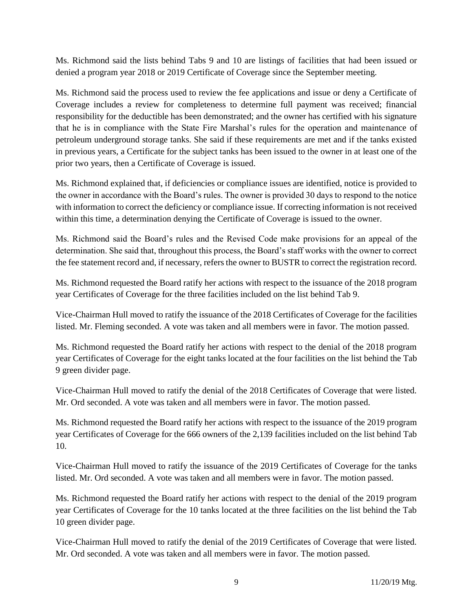Ms. Richmond said the lists behind Tabs 9 and 10 are listings of facilities that had been issued or denied a program year 2018 or 2019 Certificate of Coverage since the September meeting.

Ms. Richmond said the process used to review the fee applications and issue or deny a Certificate of Coverage includes a review for completeness to determine full payment was received; financial responsibility for the deductible has been demonstrated; and the owner has certified with his signature that he is in compliance with the State Fire Marshal's rules for the operation and maintenance of petroleum underground storage tanks. She said if these requirements are met and if the tanks existed in previous years, a Certificate for the subject tanks has been issued to the owner in at least one of the prior two years, then a Certificate of Coverage is issued.

Ms. Richmond explained that, if deficiencies or compliance issues are identified, notice is provided to the owner in accordance with the Board's rules. The owner is provided 30 days to respond to the notice with information to correct the deficiency or compliance issue. If correcting information is not received within this time, a determination denying the Certificate of Coverage is issued to the owner.

Ms. Richmond said the Board's rules and the Revised Code make provisions for an appeal of the determination. She said that, throughout this process, the Board's staff works with the owner to correct the fee statement record and, if necessary, refers the owner to BUSTR to correct the registration record.

Ms. Richmond requested the Board ratify her actions with respect to the issuance of the 2018 program year Certificates of Coverage for the three facilities included on the list behind Tab 9.

Vice-Chairman Hull moved to ratify the issuance of the 2018 Certificates of Coverage for the facilities listed. Mr. Fleming seconded. A vote was taken and all members were in favor. The motion passed.

Ms. Richmond requested the Board ratify her actions with respect to the denial of the 2018 program year Certificates of Coverage for the eight tanks located at the four facilities on the list behind the Tab 9 green divider page.

Vice-Chairman Hull moved to ratify the denial of the 2018 Certificates of Coverage that were listed. Mr. Ord seconded. A vote was taken and all members were in favor. The motion passed.

Ms. Richmond requested the Board ratify her actions with respect to the issuance of the 2019 program year Certificates of Coverage for the 666 owners of the 2,139 facilities included on the list behind Tab 10.

Vice-Chairman Hull moved to ratify the issuance of the 2019 Certificates of Coverage for the tanks listed. Mr. Ord seconded. A vote was taken and all members were in favor. The motion passed.

Ms. Richmond requested the Board ratify her actions with respect to the denial of the 2019 program year Certificates of Coverage for the 10 tanks located at the three facilities on the list behind the Tab 10 green divider page.

Vice-Chairman Hull moved to ratify the denial of the 2019 Certificates of Coverage that were listed. Mr. Ord seconded. A vote was taken and all members were in favor. The motion passed.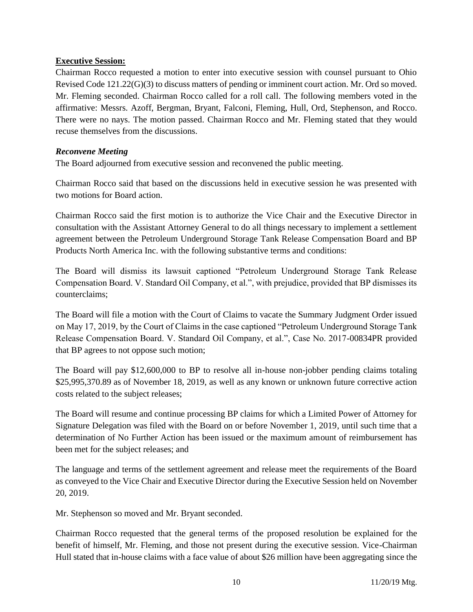## **Executive Session:**

Chairman Rocco requested a motion to enter into executive session with counsel pursuant to Ohio Revised Code 121.22(G)(3) to discuss matters of pending or imminent court action. Mr. Ord so moved. Mr. Fleming seconded. Chairman Rocco called for a roll call. The following members voted in the affirmative: Messrs. Azoff, Bergman, Bryant, Falconi, Fleming, Hull, Ord, Stephenson, and Rocco. There were no nays. The motion passed. Chairman Rocco and Mr. Fleming stated that they would recuse themselves from the discussions.

## *Reconvene Meeting*

The Board adjourned from executive session and reconvened the public meeting.

Chairman Rocco said that based on the discussions held in executive session he was presented with two motions for Board action.

Chairman Rocco said the first motion is to authorize the Vice Chair and the Executive Director in consultation with the Assistant Attorney General to do all things necessary to implement a settlement agreement between the Petroleum Underground Storage Tank Release Compensation Board and BP Products North America Inc. with the following substantive terms and conditions:

The Board will dismiss its lawsuit captioned "Petroleum Underground Storage Tank Release Compensation Board. V. Standard Oil Company, et al.", with prejudice, provided that BP dismisses its counterclaims;

The Board will file a motion with the Court of Claims to vacate the Summary Judgment Order issued on May 17, 2019, by the Court of Claims in the case captioned "Petroleum Underground Storage Tank Release Compensation Board. V. Standard Oil Company, et al.", Case No. 2017-00834PR provided that BP agrees to not oppose such motion;

The Board will pay \$12,600,000 to BP to resolve all in-house non-jobber pending claims totaling \$25,995,370.89 as of November 18, 2019, as well as any known or unknown future corrective action costs related to the subject releases;

The Board will resume and continue processing BP claims for which a Limited Power of Attorney for Signature Delegation was filed with the Board on or before November 1, 2019, until such time that a determination of No Further Action has been issued or the maximum amount of reimbursement has been met for the subject releases; and

The language and terms of the settlement agreement and release meet the requirements of the Board as conveyed to the Vice Chair and Executive Director during the Executive Session held on November 20, 2019.

Mr. Stephenson so moved and Mr. Bryant seconded.

Chairman Rocco requested that the general terms of the proposed resolution be explained for the benefit of himself, Mr. Fleming, and those not present during the executive session. Vice-Chairman Hull stated that in-house claims with a face value of about \$26 million have been aggregating since the